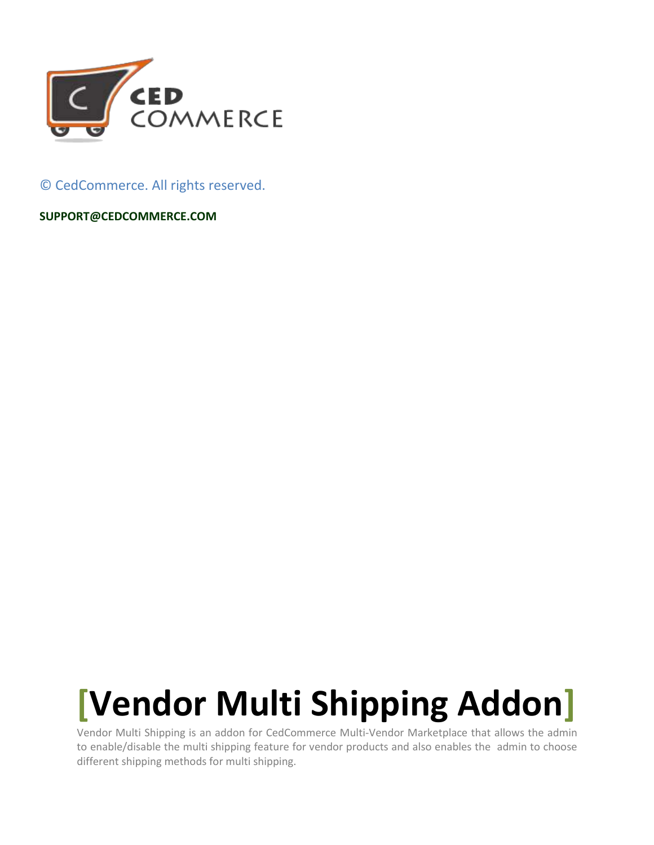

© CedCommerce. All rights reserved.

**[SUPPORT@CEDCOMMERCE.COM](mailto:SUPPORT@CEDCOMMERCE.COM)**

# **[Vendor Multi Shipping Addon]**

Vendor Multi Shipping is an addon for CedCommerce Multi-Vendor Marketplace that allows the admin to enable/disable the multi shipping feature for vendor products and also enables the admin to choose different shipping methods for multi shipping.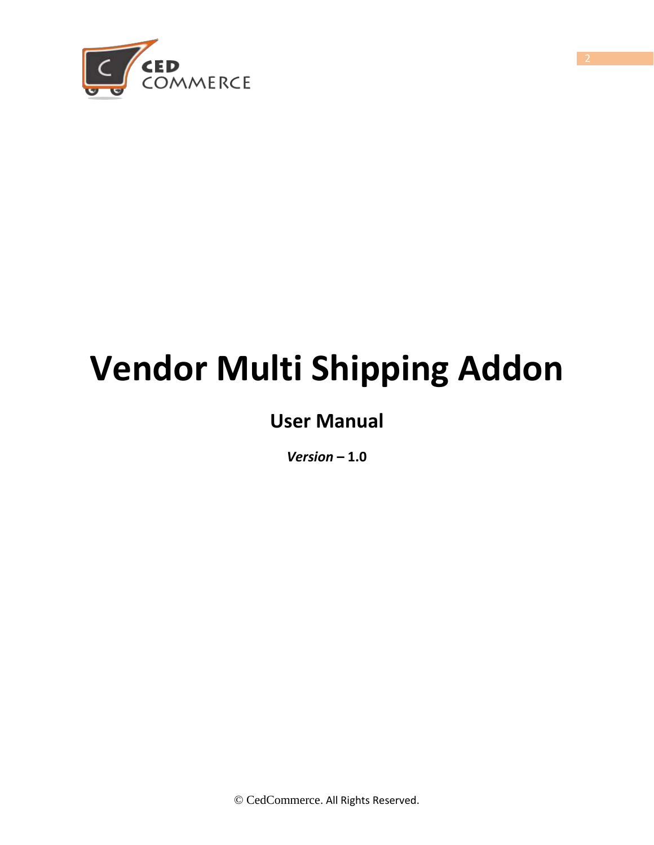

# **Vendor Multi Shipping Addon**

# **User Manual**

*Version* **– 1.0**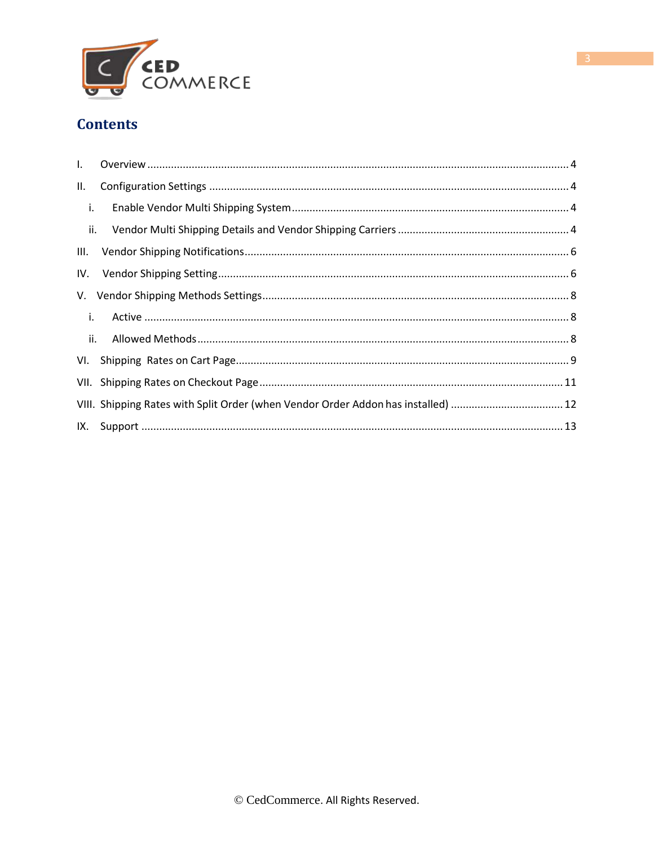

#### <span id="page-2-0"></span>**Contents**

| II.                |                                                                                   |  |
|--------------------|-----------------------------------------------------------------------------------|--|
| $\blacksquare$ i.  |                                                                                   |  |
| $\blacksquare$ ii. |                                                                                   |  |
|                    |                                                                                   |  |
|                    |                                                                                   |  |
|                    |                                                                                   |  |
| $\mathbf{i}$ .     |                                                                                   |  |
|                    |                                                                                   |  |
|                    |                                                                                   |  |
|                    |                                                                                   |  |
|                    | VIII. Shipping Rates with Split Order (when Vendor Order Addon has installed)  12 |  |
|                    |                                                                                   |  |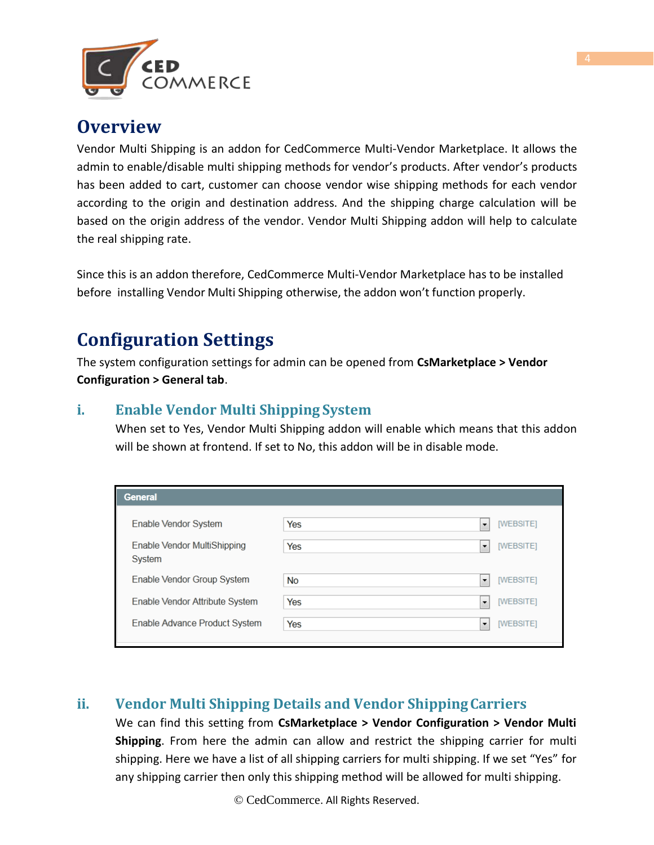

#### **Overview**

Vendor Multi Shipping is an addon for CedCommerce Multi-Vendor Marketplace. It allows the admin to enable/disable multi shipping methods for vendor's products. After vendor's products has been added to cart, customer can choose vendor wise shipping methods for each vendor according to the origin and destination address. And the shipping charge calculation will be based on the origin address of the vendor. Vendor Multi Shipping addon will help to calculate the real shipping rate.

Since this is an addon therefore, CedCommerce Multi-Vendor Marketplace has to be installed before installing Vendor Multi Shipping otherwise, the addon won't function properly.

#### <span id="page-3-0"></span>**Configuration Settings**

The system configuration settings for admin can be opened from **CsMarketplace > Vendor Configuration > General tab**.

#### <span id="page-3-1"></span>**i. Enable Vendor Multi Shipping System**

When set to Yes, Vendor Multi Shipping addon will enable which means that this addon will be shown at frontend. If set to No, this addon will be in disable mode.

| <b>General</b>                        |     |                                       |
|---------------------------------------|-----|---------------------------------------|
| Enable Vendor System                  | Yes | [WEBSITE]<br>۰                        |
| Enable Vendor MultiShipping<br>System | Yes | [WEBSITE]<br>$\overline{\phantom{a}}$ |
| Enable Vendor Group System            | No  | [WEBSITE]<br>$\overline{\phantom{a}}$ |
| Enable Vendor Attribute System        | Yes | [WEBSITE]<br>$\overline{\phantom{a}}$ |
| Enable Advance Product System         | Yes | [WEBSITE]<br>۰                        |

#### <span id="page-3-2"></span>**ii. Vendor Multi Shipping Details and Vendor ShippingCarriers**

We can find this setting from **CsMarketplace > Vendor Configuration > Vendor Multi Shipping**. From here the admin can allow and restrict the shipping carrier for multi shipping. Here we have a list of all shipping carriers for multi shipping. If we set "Yes" for any shipping carrier then only this shipping method will be allowed for multi shipping.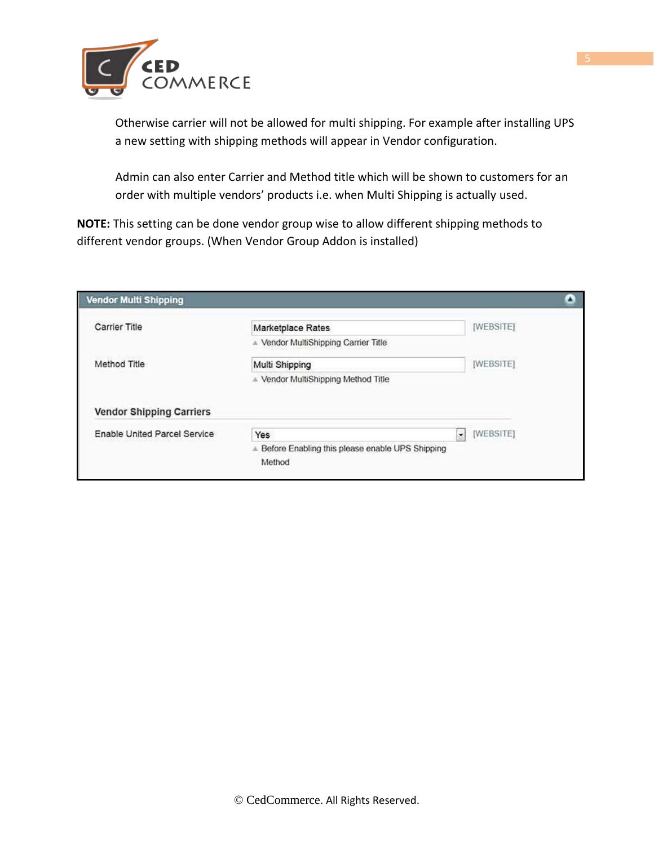

Otherwise carrier will not be allowed for multi shipping. For example after installing UPS a new setting with shipping methods will appear in Vendor configuration.

Admin can also enter Carrier and Method title which will be shown to customers for an order with multiple vendors' products i.e. when Multi Shipping is actually used.

**NOTE:** This setting can be done vendor group wise to allow different shipping methods to different vendor groups. (When Vendor Group Addon is installed)

| <b>Carrier Title</b>                                            | Marketplace Rates                    | [WEBSITE] |
|-----------------------------------------------------------------|--------------------------------------|-----------|
|                                                                 | - Vendor MultiShipping Carrier Title |           |
| Method Title                                                    | Multi Shipping                       | [WEBSITE] |
|                                                                 | - Vendor MultiShipping Method Title  |           |
|                                                                 |                                      |           |
| <b>Vendor Shipping Carriers</b><br>Enable United Parcel Service | $\bullet$<br>Yes                     | [WEBSITE] |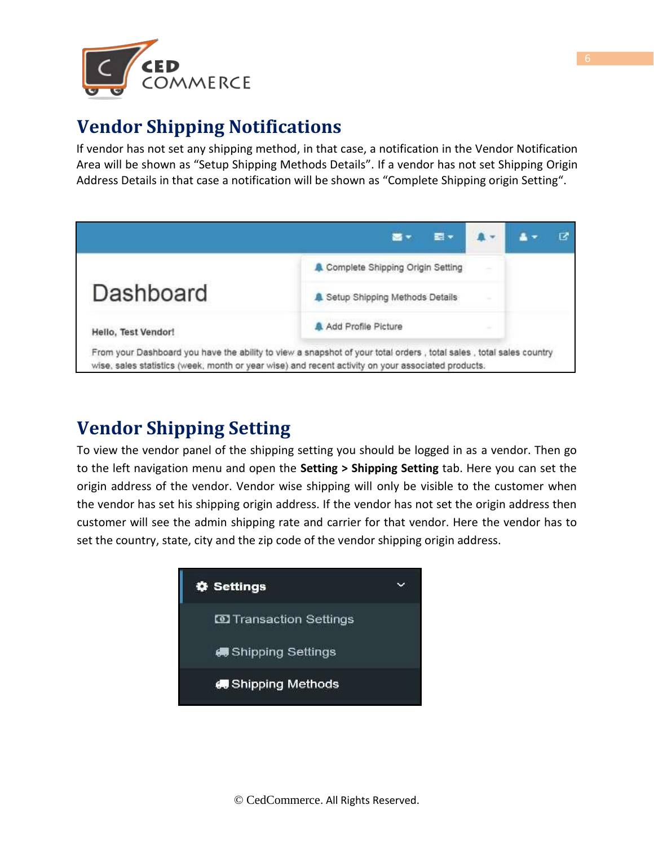

## **Vendor Shipping Notifications**

If vendor has not set any shipping method, in that case, a notification in the Vendor Notification Area will be shown as "Setup Shipping Methods Details". If a vendor has not set Shipping Origin Address Details in that case a notification will be shown as "Complete Shipping origin Setting".



## **Vendor Shipping Setting**

To view the vendor panel of the shipping setting you should be logged in as a vendor. Then go to the left navigation menu and open the **Setting > Shipping Setting** tab. Here you can set the origin address of the vendor. Vendor wise shipping will only be visible to the customer when the vendor has set his shipping origin address. If the vendor has not set the origin address then customer will see the admin shipping rate and carrier for that vendor. Here the vendor has to set the country, state, city and the zip code of the vendor shipping origin address.

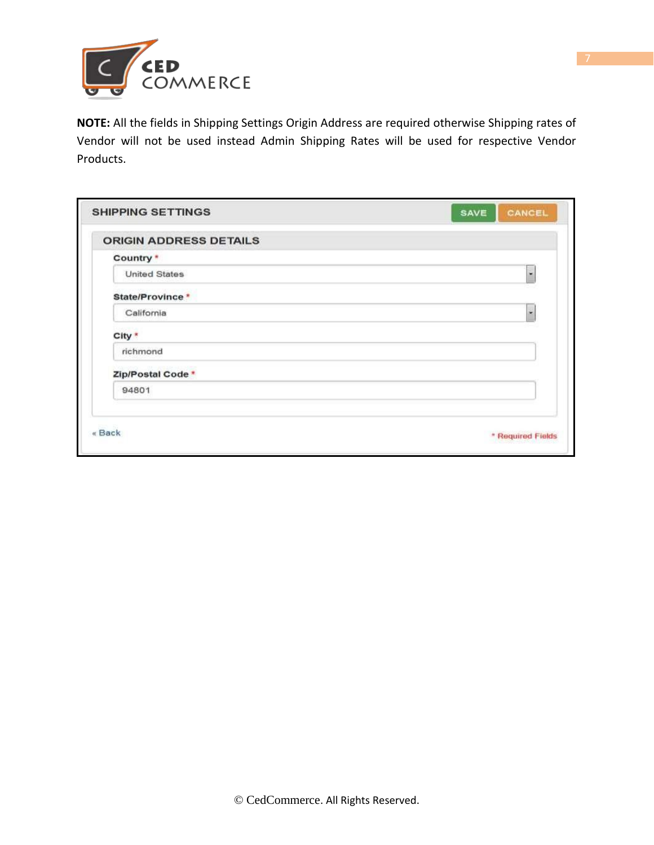

**NOTE:** All the fields in Shipping Settings Origin Address are required otherwise Shipping rates of Vendor will not be used instead Admin Shipping Rates will be used for respective Vendor Products.

| <b>SHIPPING SETTINGS</b>      | CANCEL<br>SAVE    |
|-------------------------------|-------------------|
| <b>ORIGIN ADDRESS DETAILS</b> |                   |
| Country *                     |                   |
| <b>United States</b>          | ۰                 |
| State/Province *              |                   |
| California                    | ۰                 |
| City *                        |                   |
| richmond                      |                   |
| Zip/Postal Code *             |                   |
| 94801                         |                   |
| « Back                        | * Required Fields |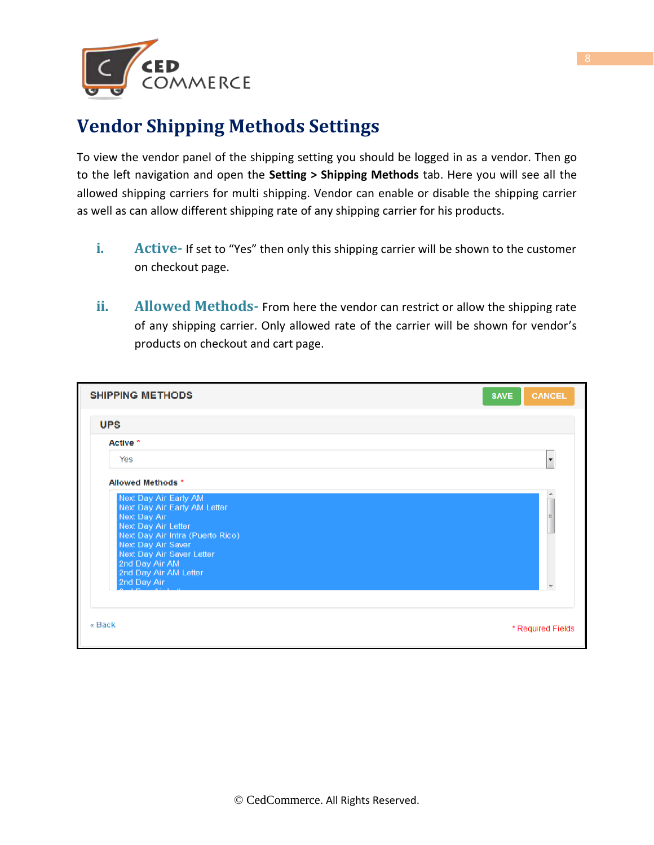

## **Vendor Shipping Methods Settings**

To view the vendor panel of the shipping setting you should be logged in as a vendor. Then go to the left navigation and open the **Setting > Shipping Methods** tab. Here you will see all the allowed shipping carriers for multi shipping. Vendor can enable or disable the shipping carrier as well as can allow different shipping rate of any shipping carrier for his products.

- **i. Active-** If set to "Yes" then only this shipping carrier will be shown to the customer on checkout page.
- **ii. Allowed Methods-** From here the vendor can restrict or allow the shipping rate of any shipping carrier. Only allowed rate of the carrier will be shown for vendor's products on checkout and cart page.

| <b>SHIPPING METHODS</b>                                                                                                                                                                                                                       | <b>SAVE</b><br><b>CANCEL</b> |
|-----------------------------------------------------------------------------------------------------------------------------------------------------------------------------------------------------------------------------------------------|------------------------------|
| <b>UPS</b>                                                                                                                                                                                                                                    |                              |
| Active *                                                                                                                                                                                                                                      |                              |
| Yes                                                                                                                                                                                                                                           | ٠                            |
| Allowed Methods *                                                                                                                                                                                                                             |                              |
| Next Day Air Early AM<br>Next Day Air Early AM Letter<br>Next Day Air<br>Next Day Air Letter<br>Next Day Air Intra (Puerto Rico)<br>Next Day Air Saver<br>Next Day Air Saver Letter<br>2nd Day Air AM<br>2nd Day Air AM Letter<br>2nd Day Air | ۸<br>目                       |
| « Back                                                                                                                                                                                                                                        | * Required Fields            |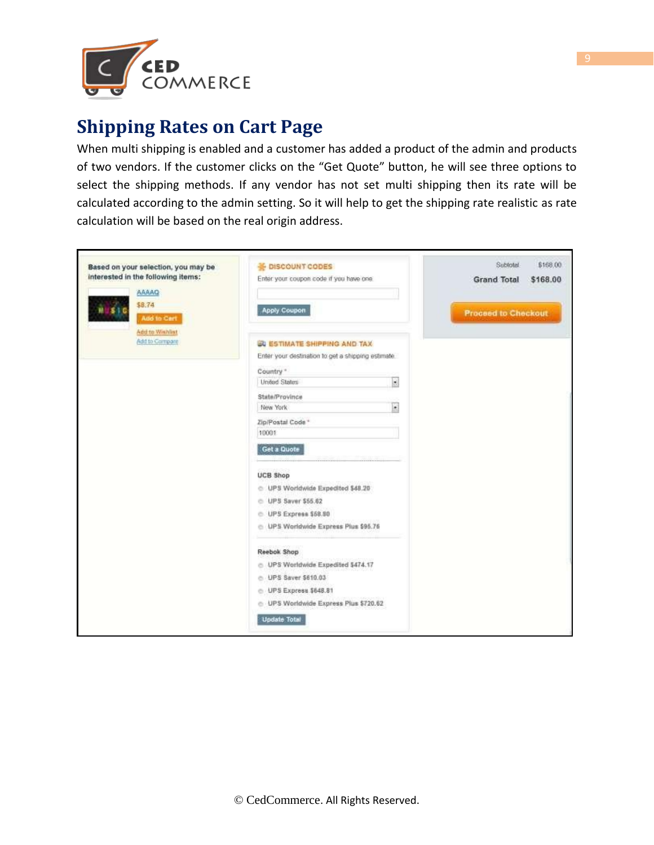

## **Shipping Rates on Cart Page**

When multi shipping is enabled and a customer has added a product of the admin and products of two vendors. If the customer clicks on the "Get Quote" button, he will see three options to select the shipping methods. If any vendor has not set multi shipping then its rate will be calculated according to the admin setting. So it will help to get the shipping rate realistic as rate calculation will be based on the real origin address.

| Based on your selection, you may be      | <b>E</b> DISCOUNT CODES                            |                          | Subtotal                   | \$168.00 |
|------------------------------------------|----------------------------------------------------|--------------------------|----------------------------|----------|
| interested in the following items:       | Enter your coupon code if you have one.            |                          | <b>Grand Total</b>         | \$168.00 |
| AAAAQ                                    |                                                    |                          |                            |          |
| \$8.74<br>Add-to-Cert                    | Apply Coupon                                       |                          | <b>Proceed to Checkout</b> |          |
| <b>Add to Wishlist</b><br>Add to Compare | <b>ED ESTIMATE SHIPPING AND TAX</b>                |                          |                            |          |
|                                          | Enter your destination to get a shipping estimate. |                          |                            |          |
|                                          | Country "                                          |                          |                            |          |
|                                          | <b>United States</b>                               | $\overline{\phantom{a}}$ |                            |          |
|                                          | State/Province                                     |                          |                            |          |
|                                          | New York                                           | ×                        |                            |          |
|                                          | Zip/Postal Code *                                  |                          |                            |          |
|                                          | 10001                                              |                          |                            |          |
|                                          | Get a Quote                                        |                          |                            |          |
|                                          | <b>UCB Shop</b>                                    |                          |                            |          |
|                                          | C UPS Worldwide Expedited \$48.20                  |                          |                            |          |
|                                          | C UPS Saver \$66.62                                |                          |                            |          |
|                                          | UPS Express \$58.90                                |                          |                            |          |
|                                          | UPS Worldwide Express Plus \$95.76<br>e.           |                          |                            |          |
|                                          | Reebok Shop                                        |                          |                            |          |
|                                          | C UPS Worldwide Expedited \$474.17                 |                          |                            |          |
|                                          | C UPS Saver \$610.03                               |                          |                            |          |
|                                          | © UPS Express \$648.81                             |                          |                            |          |
|                                          | C UPS Worldwide Express Plus \$720.62              |                          |                            |          |
|                                          | <b>Update Total</b>                                |                          |                            |          |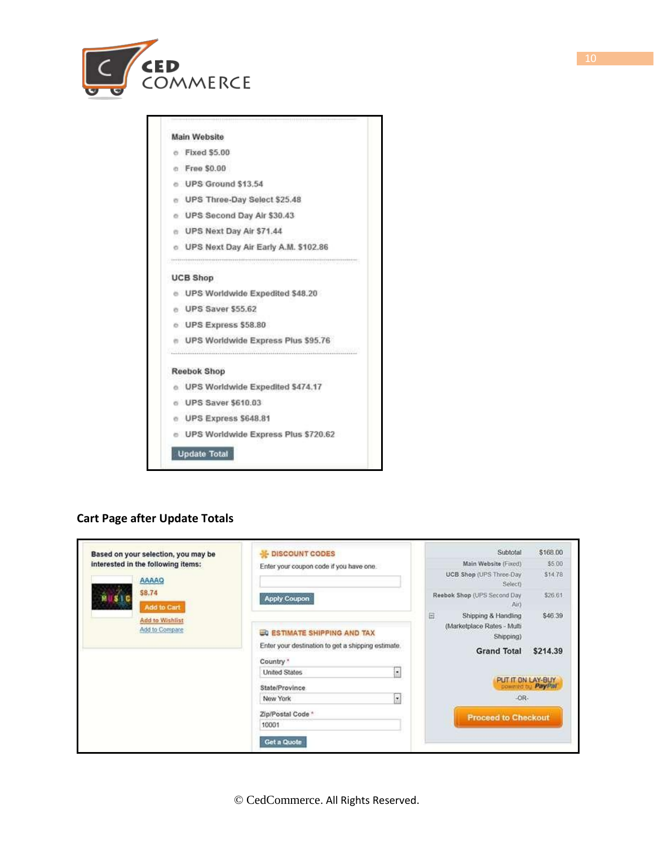

#### **Main Website**  $e$  Fixed \$5.00 n Free \$0.00 e UPS Ground \$13,54

- e UPS Three-Day Select \$25.48
- e UPS Second Day Air \$30.43
- e UPS Next Day Air \$71.44
- o UPS Next Day Air Early A.M. \$102.86

#### **UCB Shop**

- e UPS Worldwide Expedited \$48.20
- e UPS Saver \$55.62
- o UPS Express \$58.80
- e UPS Worldwide Express Plus \$95.76

#### **Reebok Shop**

- o UPS Worldwide Expedited \$474.17
- 6 UPS Saver \$610.03
- e UPS Express \$648.81
- UPS Worldwide Express Plus \$720.62

#### Update Total

#### **Cart Page after Update Totals**

| Based on your selection, you may be | <b>E-DISCOUNT CODES</b>                                         | Subtotal                                                                  | \$168.00 |
|-------------------------------------|-----------------------------------------------------------------|---------------------------------------------------------------------------|----------|
| interested in the following items:  | Enter your coupon code if you have one.                         | Main Website (Fixed)                                                      | \$5.00   |
| AAAAQ                               |                                                                 | UCB Shop (UPS Three-Day<br>Selecti                                        | \$14.78  |
| \$8.74<br>Add to Cart               | <b>Apply Coupon</b>                                             | Reebok Shop (UPS Second Day<br>Airy                                       | \$26.61  |
| Add to Wishlist<br>Add to Compare   | <b>ED ESTIMATE SHIPPING AND TAX</b>                             | $\Box$<br>Shipping & Handling<br>(Marketplace Rates - Multi-<br>Shipping) | \$46.39  |
|                                     | Enter your destination to get a shipping estimate.<br>Country * | <b>Grand Total</b>                                                        | \$214.39 |
|                                     | ы<br><b>United States</b>                                       |                                                                           |          |
|                                     | State/Province                                                  | PUT IT ON LAY-BUY<br>cowared by PayPal                                    |          |
|                                     | $\overline{\mathbf{r}}$<br>New York                             | $-OR-$                                                                    |          |
|                                     | Zip/Postal Code *                                               | <b>Proceed to Checkout</b>                                                |          |
|                                     | 10001                                                           |                                                                           |          |
|                                     | Get a Quote                                                     |                                                                           |          |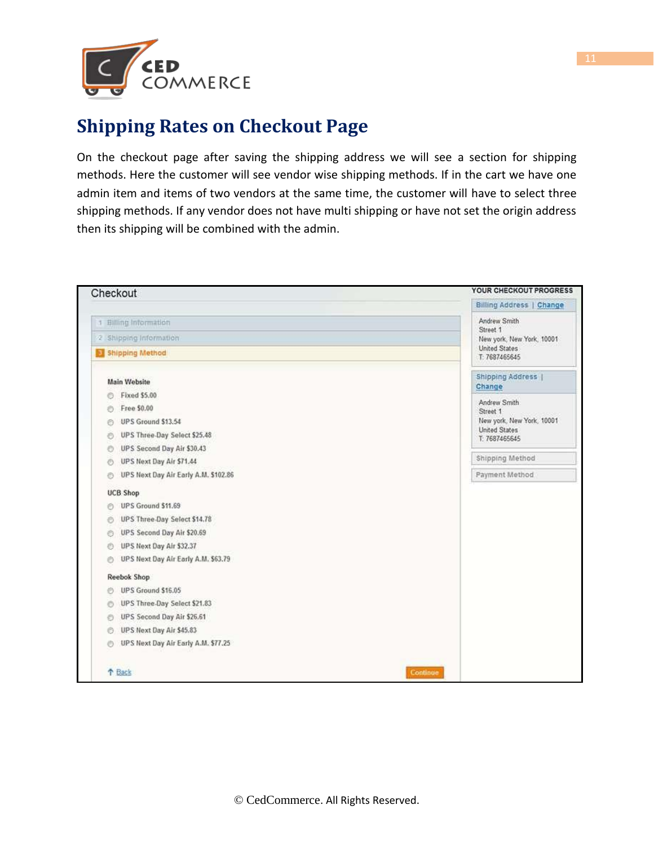

## **Shipping Rates on Checkout Page**

On the checkout page after saving the shipping address we will see a section for shipping methods. Here the customer will see vendor wise shipping methods. If in the cart we have one admin item and items of two vendors at the same time, the customer will have to select three shipping methods. If any vendor does not have multi shipping or have not set the origin address then its shipping will be combined with the admin.

| Checkout                                  | YOUR CHECKOUT PROGRESS                |
|-------------------------------------------|---------------------------------------|
|                                           | Billing Address   Change              |
| 1 Billing Information                     | Andrew Smith                          |
| 2 Shipping Information                    | Street 1<br>New york, New York, 10001 |
| Shipping Method                           | United States<br>T: 7687465645        |
| <b>Main Website</b>                       | <b>Shipping Address  </b><br>Change   |
| <b>Fixed \$5.00</b><br>e                  |                                       |
| Free \$0.00<br>O                          | Andrew Smith<br>Street 1              |
| UPS Ground \$13.54<br>ø                   | New york, New York, 10001             |
| UPS Three-Day Select \$25.48<br>Ð         | United States<br>T: 7687465645        |
| UPS Second Day Air \$30.43<br>O           |                                       |
| UPS Next Day Air \$71.44<br>O             | Shipping Method                       |
| UPS Next Day Air Early A.M. \$102.86<br>Ō | Payment Method                        |
| <b>UCB Shop</b>                           |                                       |
| UPS Ground \$11.69<br>ø                   |                                       |
| UPS Three-Day Select \$14.78<br>O         |                                       |
| UPS Second Day Air \$20.69<br>e           |                                       |
| UPS Next Day Air \$32.37<br>O             |                                       |
| UPS Next Day Air Early A.M. \$63.79<br>O  |                                       |
| <b>Reebok Shop</b>                        |                                       |
| UPS Ground \$16.05<br>Ð                   |                                       |
| UPS Three-Day Select \$21.83<br>O         |                                       |
| UPS Second Day Air \$26.61<br>Đ           |                                       |
| UPS Next Day Air \$45.83<br>0             |                                       |
| UPS Next Day Air Early A.M. \$77.25<br>Ö  |                                       |
| <b>1</b> Back                             | Continue                              |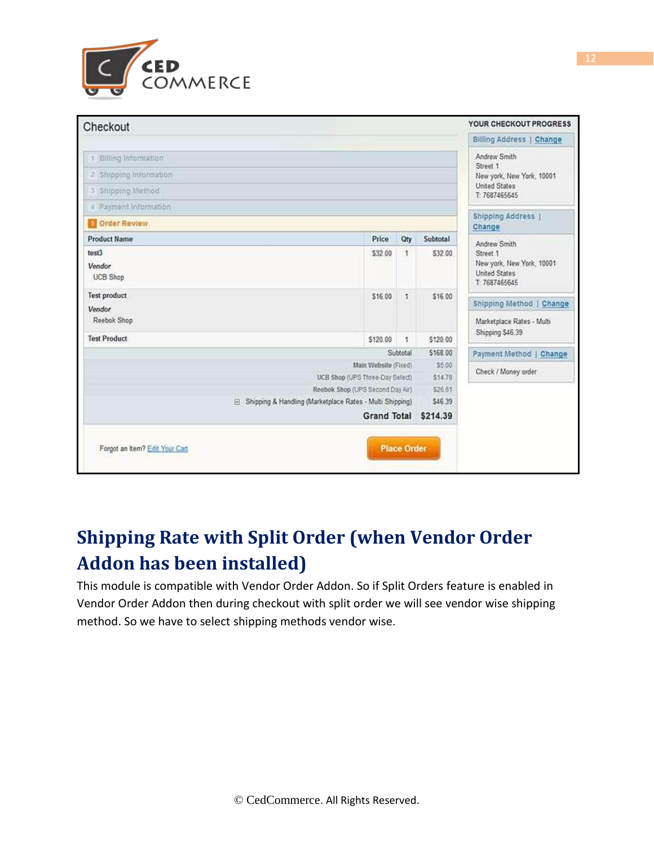

| Checkout                                                   |                                                         |                    |                   | YOUR CHECKOUT PROGRESS                                      |
|------------------------------------------------------------|---------------------------------------------------------|--------------------|-------------------|-------------------------------------------------------------|
|                                                            |                                                         |                    |                   | Billing Address   Change                                    |
| 1 Billing Information                                      |                                                         |                    |                   | Andrew Smith                                                |
| 2 Shipping Information                                     |                                                         |                    |                   | Street 1<br>New york, New York, 10001                       |
| 3 Shipping Method                                          |                                                         |                    |                   | <b>United States</b><br>T: 7687465645                       |
| 4 Payment Information                                      |                                                         |                    |                   |                                                             |
| <b>S</b> Order Review                                      |                                                         |                    |                   | Shipping Address  <br>Change                                |
| <b>Product Name</b>                                        | Price                                                   | Qty                | Subtotal          | Andrew Smith                                                |
| test3                                                      | \$32.00                                                 | 1                  | \$32.00           | Street 1                                                    |
| Vendor<br><b>UCB Shop</b>                                  |                                                         |                    |                   | New york, New York, 10001<br>United States<br>T: 7687465645 |
| <b>Test product</b>                                        | \$16.00                                                 | $\mathbf{I}$       | \$16.00           | Shipping Method   Change                                    |
| Vendor                                                     |                                                         |                    |                   |                                                             |
| Reebok Shop                                                |                                                         |                    |                   | Marketplace Rates - Multi<br>Shipping \$46.39               |
| <b>Test Product</b>                                        | \$120.00                                                | 1                  | \$120.00          |                                                             |
|                                                            |                                                         | Subtotal           | \$168.00          | Payment Method   Change                                     |
|                                                            | Main Website (Fixed)<br>UCB Shop (UPS Three-Day Select) |                    | \$5.00<br>\$14.78 | Check / Money order                                         |
|                                                            | Reebok Shop (UPS Second Day Air)                        |                    | \$26.61           |                                                             |
| E Shipping & Handling (Marketplace Rates - Multi Shipping) |                                                         |                    | \$46.39           |                                                             |
|                                                            | <b>Grand Total</b>                                      |                    | \$214.39          |                                                             |
|                                                            |                                                         |                    |                   |                                                             |
| Forgot an item? Edit Your Cart                             |                                                         | <b>Place Order</b> |                   |                                                             |
|                                                            |                                                         |                    |                   |                                                             |

# <span id="page-11-0"></span>**Shipping Rate with Split Order (when Vendor Order Addon has been installed)**

This module is compatible with Vendor Order Addon. So if Split Orders feature is enabled in Vendor Order Addon then during checkout with split order we will see vendor wise shipping method. So we have to select shipping methods vendor wise.